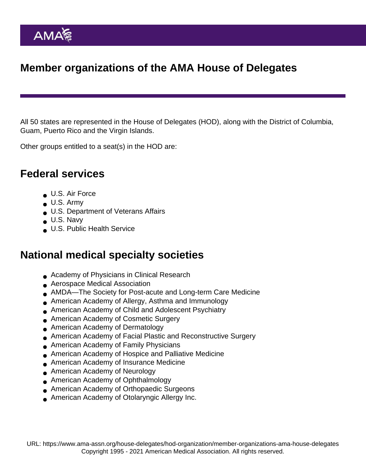# Member organizations of the AMA House of Delegates

All 50 states are represented in the House of Delegates (HOD), along with the District of Columbia, Guam, Puerto Rico and the Virgin Islands.

Other groups entitled to a seat(s) in the HOD are:

#### Federal services

- U.S. Air Force
- $\bullet$  U.S. Army
- U.S. Department of Veterans Affairs
- U.S. Navy
- **U.S. Public Health Service**

### National medical specialty societies

- Academy of Physicians in Clinical Research
- **Aerospace Medical Association**
- AMDA—The Society for Post-acute and Long-term Care Medicine
- American Academy of Allergy, Asthma and Immunology
- American Academy of Child and Adolescent Psychiatry
- American Academy of Cosmetic Surgery
- American Academy of Dermatology
- American Academy of Facial Plastic and Reconstructive Surgery
- American Academy of Family Physicians  $\bullet$
- American Academy of Hospice and Palliative Medicine
- American Academy of Insurance Medicine
- **American Academy of Neurology**
- American Academy of Ophthalmology
- American Academy of Orthopaedic Surgeons
- American Academy of Otolaryngic Allergy Inc.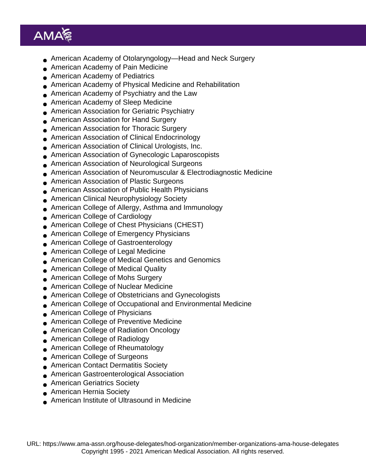- American Academy of Otolaryngology—Head and Neck Surgery
- American Academy of Pain Medicine
- American Academy of Pediatrics
- American Academy of Physical Medicine and Rehabilitation
- American Academy of Psychiatry and the Law
- American Academy of Sleep Medicine
- American Association for Geriatric Psychiatry  $\bullet$
- American Association for Hand Surgery
- American Association for Thoracic Surgery
- American Association of Clinical Endocrinology
- American Association of Clinical Urologists, Inc.
- American Association of Gynecologic Laparoscopists
- American Association of Neurological Surgeons
- American Association of Neuromuscular & Electrodiagnostic Medicine
- American Association of Plastic Surgeons
- American Association of Public Health Physicians  $\bullet$
- American Clinical Neurophysiology Society
- American College of Allergy, Asthma and Immunology
- American College of Cardiology
- American College of Chest Physicians (CHEST)  $\bullet$
- American College of Emergency Physicians
- American College of Gastroenterology
- American College of Legal Medicine
- American College of Medical Genetics and Genomics
- American College of Medical Quality  $\bullet$
- American College of Mohs Surgery
- American College of Nuclear Medicine
- American College of Obstetricians and Gynecologists
- American College of Occupational and Environmental Medicine  $\bullet$
- American College of Physicians
- American College of Preventive Medicine
- American College of Radiation Oncology
- American College of Radiology  $\bullet$
- American College of Rheumatology
- American College of Surgeons
- **American Contact Dermatitis Society**
- American Gastroenterological Association
- American Geriatrics Society
- American Hernia Society
- American Institute of Ultrasound in Medicine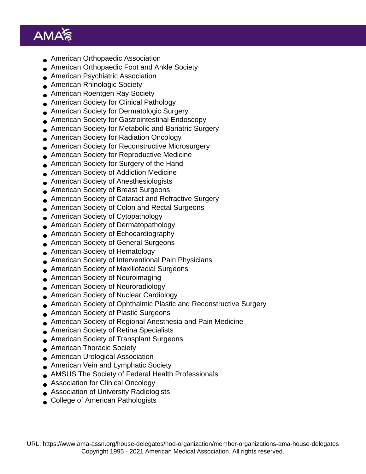- American Orthopaedic Association
- American Orthopaedic Foot and Ankle Society
- American Psychiatric Association
- American Rhinologic Society
- American Roentgen Ray Society
- American Society for Clinical Pathology
- American Society for Dermatologic Surgery  $\bullet$
- American Society for Gastrointestinal Endoscopy
- American Society for Metabolic and Bariatric Surgery
- American Society for Radiation Oncology
- American Society for Reconstructive Microsurgery
- American Society for Reproductive Medicine
- American Society for Surgery of the Hand
- American Society of Addiction Medicine
- American Society of Anesthesiologists
- American Society of Breast Surgeons  $\bullet$
- American Society of Cataract and Refractive Surgery
- American Society of Colon and Rectal Surgeons
- American Society of Cytopathology
- American Society of Dermatopathology  $\bullet$
- American Society of Echocardiography
- American Society of General Surgeons
- American Society of Hematology
- American Society of Interventional Pain Physicians
- American Society of Maxillofacial Surgeons  $\bullet$
- American Society of Neuroimaging
- American Society of Neuroradiology
- American Society of Nuclear Cardiology
- American Society of Ophthalmic Plastic and Reconstructive Surgery  $\bullet$
- American Society of Plastic Surgeons
- American Society of Regional Anesthesia and Pain Medicine
- American Society of Retina Specialists
- American Society of Transplant Surgeons  $\bullet$
- American Thoracic Society
- American Urological Association
- American Vein and Lymphatic Society
- AMSUS The Society of Federal Health Professionals
- Association for Clinical Oncology
- Association of University Radiologists
- College of American Pathologists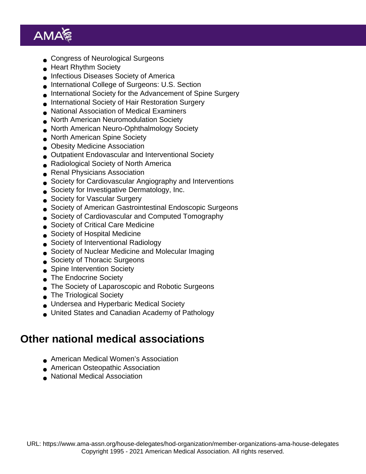- Congress of Neurological Surgeons
- Heart Rhythm Society
- Infectious Diseases Society of America
- International College of Surgeons: U.S. Section
- International Society for the Advancement of Spine Surgery
- International Society of Hair Restoration Surgery
- National Association of Medical Examiners
- North American Neuromodulation Society
- North American Neuro-Ophthalmology Society
- North American Spine Society
- **Obesity Medicine Association**
- Outpatient Endovascular and Interventional Society
- Radiological Society of North America
- **Renal Physicians Association**
- Society for Cardiovascular Angiography and Interventions
- Society for Investigative Dermatology, Inc.  $\bullet$
- Society for Vascular Surgery
- Society of American Gastrointestinal Endoscopic Surgeons
- Society of Cardiovascular and Computed Tomography
- Society of Critical Care Medicine
- **Society of Hospital Medicine**
- Society of Interventional Radiology
- Society of Nuclear Medicine and Molecular Imaging
- Society of Thoracic Surgeons
- Spine Intervention Society  $\bullet$
- **The Endocrine Society**
- The Society of Laparoscopic and Robotic Surgeons
- The Triological Society
- Undersea and Hyperbaric Medical Society
- United States and Canadian Academy of Pathology

### Other national medical associations

- American Medical Women's Association
- **American Osteopathic Association**
- National Medical Association